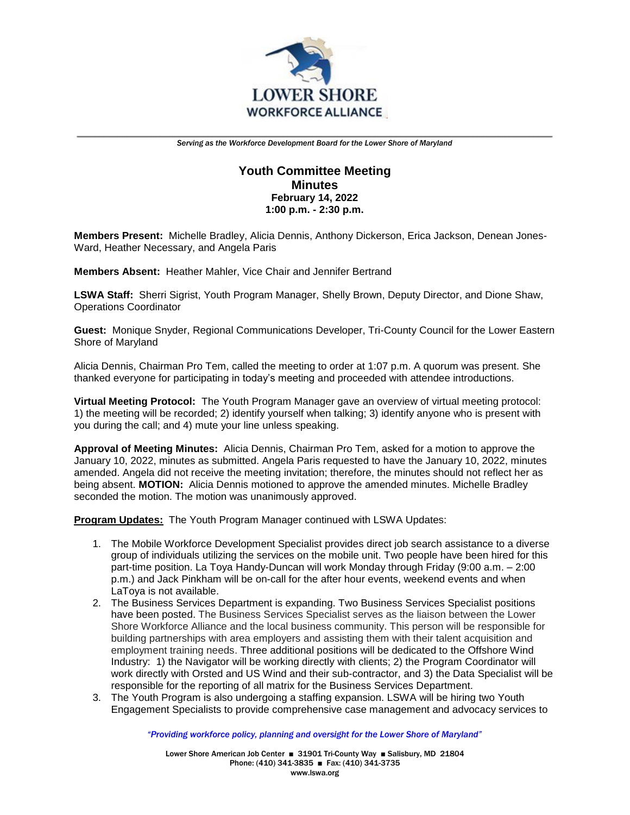

## **Youth Committee Meeting Minutes February 14, 2022 1:00 p.m. - 2:30 p.m.**

**Members Present:** Michelle Bradley, Alicia Dennis, Anthony Dickerson, Erica Jackson, Denean Jones-Ward, Heather Necessary, and Angela Paris

**Members Absent:** Heather Mahler, Vice Chair and Jennifer Bertrand

**LSWA Staff:** Sherri Sigrist, Youth Program Manager, Shelly Brown, Deputy Director, and Dione Shaw, Operations Coordinator

**Guest:** Monique Snyder, Regional Communications Developer, Tri-County Council for the Lower Eastern Shore of Maryland

Alicia Dennis, Chairman Pro Tem, called the meeting to order at 1:07 p.m. A quorum was present. She thanked everyone for participating in today's meeting and proceeded with attendee introductions.

**Virtual Meeting Protocol:** The Youth Program Manager gave an overview of virtual meeting protocol: 1) the meeting will be recorded; 2) identify yourself when talking; 3) identify anyone who is present with you during the call; and 4) mute your line unless speaking.

**Approval of Meeting Minutes:** Alicia Dennis, Chairman Pro Tem, asked for a motion to approve the January 10, 2022, minutes as submitted. Angela Paris requested to have the January 10, 2022, minutes amended. Angela did not receive the meeting invitation; therefore, the minutes should not reflect her as being absent. **MOTION:** Alicia Dennis motioned to approve the amended minutes. Michelle Bradley seconded the motion. The motion was unanimously approved.

**Program Updates:** The Youth Program Manager continued with LSWA Updates:

- 1. The Mobile Workforce Development Specialist provides direct job search assistance to a diverse group of individuals utilizing the services on the mobile unit. Two people have been hired for this part-time position. La Toya Handy-Duncan will work Monday through Friday (9:00 a.m. – 2:00 p.m.) and Jack Pinkham will be on-call for the after hour events, weekend events and when LaToya is not available.
- 2. The Business Services Department is expanding. Two Business Services Specialist positions have been posted. The Business Services Specialist serves as the liaison between the Lower Shore Workforce Alliance and the local business community. This person will be responsible for building partnerships with area employers and assisting them with their talent acquisition and employment training needs. Three additional positions will be dedicated to the Offshore Wind Industry: 1) the Navigator will be working directly with clients; 2) the Program Coordinator will work directly with Orsted and US Wind and their sub-contractor, and 3) the Data Specialist will be responsible for the reporting of all matrix for the Business Services Department.
- 3. The Youth Program is also undergoing a staffing expansion. LSWA will be hiring two Youth Engagement Specialists to provide comprehensive case management and advocacy services to

*"Providing workforce policy, planning and oversight for the Lower Shore of Maryland"*

Lower Shore American Job Center ■ 31901 Tri-County Way ■ Salisbury, MD 21804 Phone: (410) 341-3835 ■ Fax: (410) 341-3735 www.lswa.org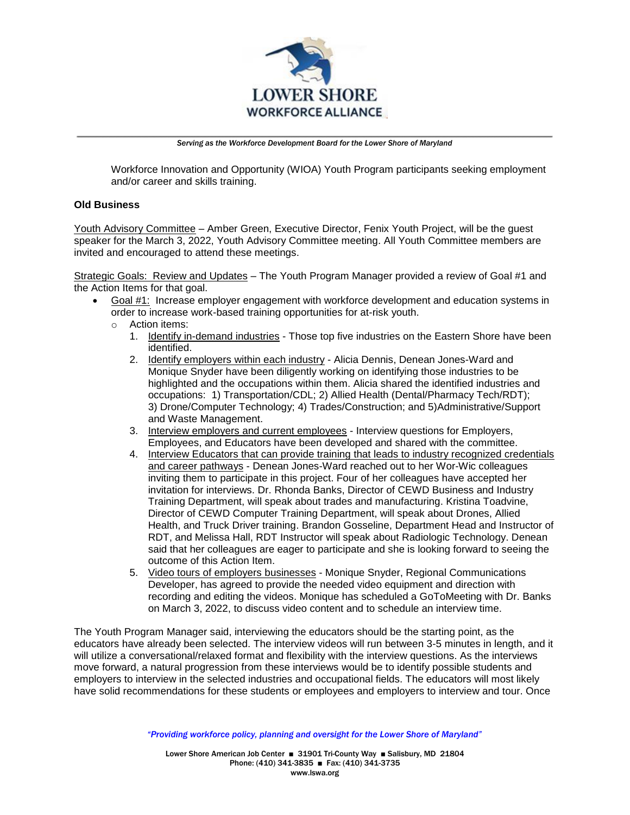

Workforce Innovation and Opportunity (WIOA) Youth Program participants seeking employment and/or career and skills training.

## **Old Business**

Youth Advisory Committee – Amber Green, Executive Director, Fenix Youth Project, will be the guest speaker for the March 3, 2022, Youth Advisory Committee meeting. All Youth Committee members are invited and encouraged to attend these meetings.

Strategic Goals: Review and Updates – The Youth Program Manager provided a review of Goal #1 and the Action Items for that goal.

- Goal #1: Increase employer engagement with workforce development and education systems in order to increase work-based training opportunities for at-risk youth.
	- o Action items:
		- 1. Identify in-demand industries Those top five industries on the Eastern Shore have been identified.
		- 2. Identify employers within each industry Alicia Dennis, Denean Jones-Ward and Monique Snyder have been diligently working on identifying those industries to be highlighted and the occupations within them. Alicia shared the identified industries and occupations: 1) Transportation/CDL; 2) Allied Health (Dental/Pharmacy Tech/RDT); 3) Drone/Computer Technology; 4) Trades/Construction; and 5)Administrative/Support and Waste Management.
		- 3. Interview employers and current employees Interview questions for Employers, Employees, and Educators have been developed and shared with the committee.
		- 4. Interview Educators that can provide training that leads to industry recognized credentials and career pathways - Denean Jones-Ward reached out to her Wor-Wic colleagues inviting them to participate in this project. Four of her colleagues have accepted her invitation for interviews. Dr. Rhonda Banks, Director of CEWD Business and Industry Training Department, will speak about trades and manufacturing. Kristina Toadvine, Director of CEWD Computer Training Department, will speak about Drones, Allied Health, and Truck Driver training. Brandon Gosseline, Department Head and Instructor of RDT, and Melissa Hall, RDT Instructor will speak about Radiologic Technology. Denean said that her colleagues are eager to participate and she is looking forward to seeing the outcome of this Action Item.
		- 5. Video tours of employers businesses Monique Snyder, Regional Communications Developer, has agreed to provide the needed video equipment and direction with recording and editing the videos. Monique has scheduled a GoToMeeting with Dr. Banks on March 3, 2022, to discuss video content and to schedule an interview time.

The Youth Program Manager said, interviewing the educators should be the starting point, as the educators have already been selected. The interview videos will run between 3-5 minutes in length, and it will utilize a conversational/relaxed format and flexibility with the interview questions. As the interviews move forward, a natural progression from these interviews would be to identify possible students and employers to interview in the selected industries and occupational fields. The educators will most likely have solid recommendations for these students or employees and employers to interview and tour. Once

*"Providing workforce policy, planning and oversight for the Lower Shore of Maryland"*

Lower Shore American Job Center ■ 31901 Tri-County Way ■ Salisbury, MD 21804 Phone: (410) 341-3835 ■ Fax: (410) 341-3735 www.lswa.org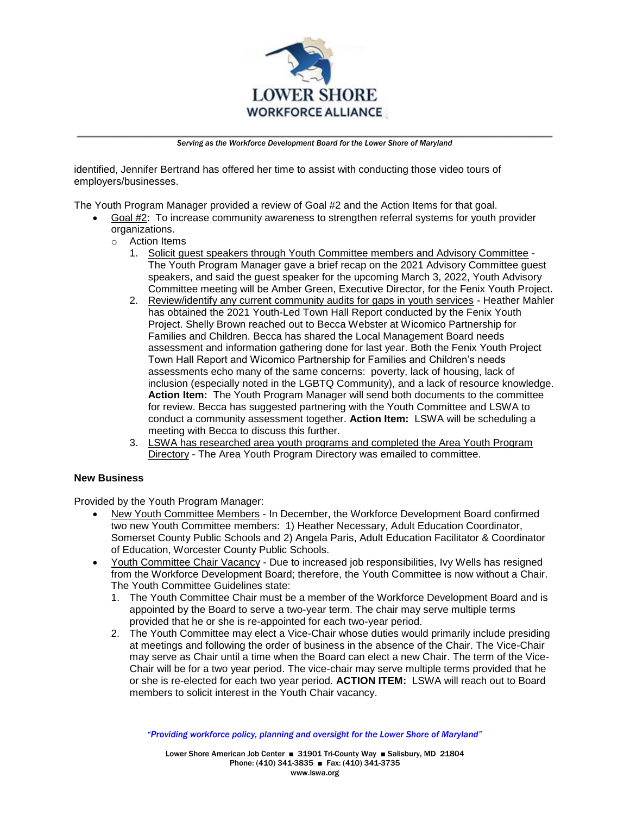

identified, Jennifer Bertrand has offered her time to assist with conducting those video tours of employers/businesses.

The Youth Program Manager provided a review of Goal #2 and the Action Items for that goal.

- Goal #2: To increase community awareness to strengthen referral systems for youth provider organizations.
	- o Action Items
		- 1. Solicit guest speakers through Youth Committee members and Advisory Committee The Youth Program Manager gave a brief recap on the 2021 Advisory Committee guest speakers, and said the guest speaker for the upcoming March 3, 2022, Youth Advisory Committee meeting will be Amber Green, Executive Director, for the Fenix Youth Project.
		- 2. Review/identify any current community audits for gaps in youth services Heather Mahler has obtained the 2021 Youth-Led Town Hall Report conducted by the Fenix Youth Project. Shelly Brown reached out to Becca Webster at Wicomico Partnership for Families and Children. Becca has shared the Local Management Board needs assessment and information gathering done for last year. Both the Fenix Youth Project Town Hall Report and Wicomico Partnership for Families and Children's needs assessments echo many of the same concerns: poverty, lack of housing, lack of inclusion (especially noted in the LGBTQ Community), and a lack of resource knowledge. **Action Item:** The Youth Program Manager will send both documents to the committee for review. Becca has suggested partnering with the Youth Committee and LSWA to conduct a community assessment together. **Action Item:** LSWA will be scheduling a meeting with Becca to discuss this further.
		- 3. LSWA has researched area youth programs and completed the Area Youth Program Directory - The Area Youth Program Directory was emailed to committee.

## **New Business**

Provided by the Youth Program Manager:

- New Youth Committee Members In December, the Workforce Development Board confirmed two new Youth Committee members: 1) Heather Necessary, Adult Education Coordinator, Somerset County Public Schools and 2) Angela Paris, Adult Education Facilitator & Coordinator of Education, Worcester County Public Schools.
- Youth Committee Chair Vacancy Due to increased job responsibilities, Ivy Wells has resigned from the Workforce Development Board; therefore, the Youth Committee is now without a Chair. The Youth Committee Guidelines state:
	- 1. The Youth Committee Chair must be a member of the Workforce Development Board and is appointed by the Board to serve a two-year term. The chair may serve multiple terms provided that he or she is re-appointed for each two-year period.
	- 2. The Youth Committee may elect a Vice-Chair whose duties would primarily include presiding at meetings and following the order of business in the absence of the Chair. The Vice-Chair may serve as Chair until a time when the Board can elect a new Chair. The term of the Vice-Chair will be for a two year period. The vice-chair may serve multiple terms provided that he or she is re-elected for each two year period. **ACTION ITEM:** LSWA will reach out to Board members to solicit interest in the Youth Chair vacancy.

*"Providing workforce policy, planning and oversight for the Lower Shore of Maryland"*